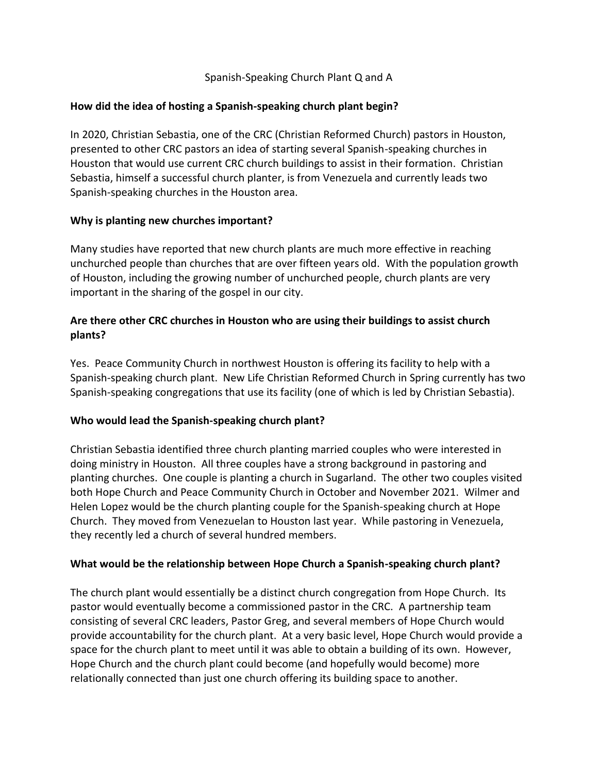## Spanish-Speaking Church Plant Q and A

### **How did the idea of hosting a Spanish-speaking church plant begin?**

In 2020, Christian Sebastia, one of the CRC (Christian Reformed Church) pastors in Houston, presented to other CRC pastors an idea of starting several Spanish-speaking churches in Houston that would use current CRC church buildings to assist in their formation. Christian Sebastia, himself a successful church planter, is from Venezuela and currently leads two Spanish-speaking churches in the Houston area.

### **Why is planting new churches important?**

Many studies have reported that new church plants are much more effective in reaching unchurched people than churches that are over fifteen years old. With the population growth of Houston, including the growing number of unchurched people, church plants are very important in the sharing of the gospel in our city.

# **Are there other CRC churches in Houston who are using their buildings to assist church plants?**

Yes. Peace Community Church in northwest Houston is offering its facility to help with a Spanish-speaking church plant. New Life Christian Reformed Church in Spring currently has two Spanish-speaking congregations that use its facility (one of which is led by Christian Sebastia).

## **Who would lead the Spanish-speaking church plant?**

Christian Sebastia identified three church planting married couples who were interested in doing ministry in Houston. All three couples have a strong background in pastoring and planting churches. One couple is planting a church in Sugarland. The other two couples visited both Hope Church and Peace Community Church in October and November 2021. Wilmer and Helen Lopez would be the church planting couple for the Spanish-speaking church at Hope Church. They moved from Venezuelan to Houston last year. While pastoring in Venezuela, they recently led a church of several hundred members.

## **What would be the relationship between Hope Church a Spanish-speaking church plant?**

The church plant would essentially be a distinct church congregation from Hope Church. Its pastor would eventually become a commissioned pastor in the CRC. A partnership team consisting of several CRC leaders, Pastor Greg, and several members of Hope Church would provide accountability for the church plant. At a very basic level, Hope Church would provide a space for the church plant to meet until it was able to obtain a building of its own. However, Hope Church and the church plant could become (and hopefully would become) more relationally connected than just one church offering its building space to another.